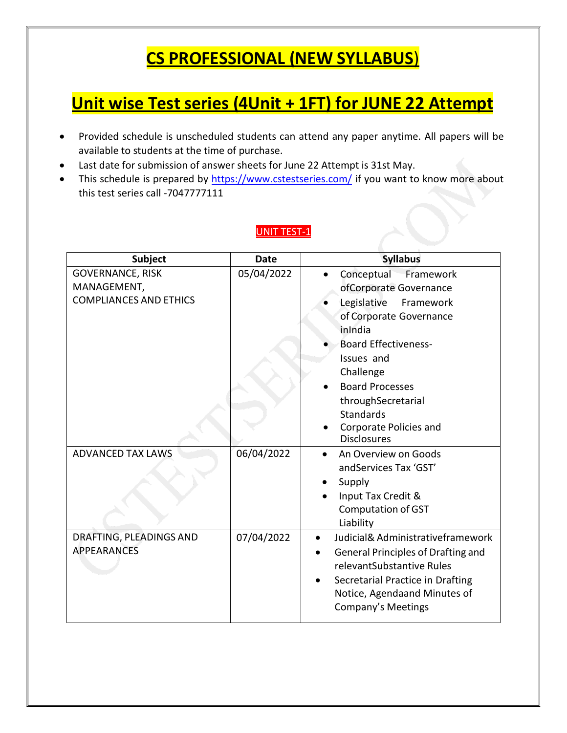## **CS PROFESSIONAL (NEW SYLLABUS**)

## **Unit wise Test series (4Unit + 1FT) for JUNE 22 Attempt**

- Provided schedule is unscheduled students can attend any paper anytime. All papers will be available to students at the time of purchase.
- Last date for submission of answer sheets for June 22 Attempt is 31st May.
- This schedule is prepared by <https://www.cstestseries.com/> if you want to know more about this test series call -7047777111

#### UNIT TEST-1

| <b>Subject</b>                                                   | <b>Date</b> | <b>Syllabus</b>                                                                                                                                                                                                                                                                                |
|------------------------------------------------------------------|-------------|------------------------------------------------------------------------------------------------------------------------------------------------------------------------------------------------------------------------------------------------------------------------------------------------|
| GOVERNANCE, RISK<br>MANAGEMENT,<br><b>COMPLIANCES AND ETHICS</b> | 05/04/2022  | Conceptual Framework<br>ofCorporate Governance<br>Legislative<br>Framework<br>of Corporate Governance<br>inIndia<br><b>Board Effectiveness-</b><br>Issues and<br>Challenge<br><b>Board Processes</b><br>throughSecretarial<br><b>Standards</b><br>Corporate Policies and<br><b>Disclosures</b> |
| <b>ADVANCED TAX LAWS</b>                                         | 06/04/2022  | An Overview on Goods<br>andServices Tax 'GST'<br>Supply<br>Input Tax Credit &<br>Computation of GST<br>Liability                                                                                                                                                                               |
| DRAFTING, PLEADINGS AND<br><b>APPEARANCES</b>                    | 07/04/2022  | Judicial& Administrativeframework<br>General Principles of Drafting and<br>relevantSubstantive Rules<br>Secretarial Practice in Drafting<br>Notice, Agendaand Minutes of<br>Company's Meetings                                                                                                 |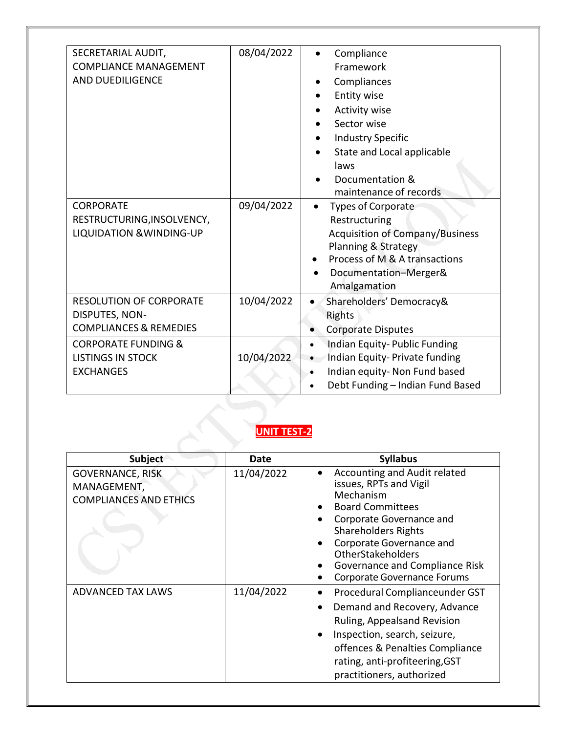| SECRETARIAL AUDIT,<br><b>COMPLIANCE MANAGEMENT</b><br><b>AND DUEDILIGENCE</b><br><b>CORPORATE</b><br>RESTRUCTURING, INSOLVENCY,<br><b>LIQUIDATION &amp; WINDING-UP</b> | 08/04/2022<br>09/04/2022 | Compliance<br>Framework<br>Compliances<br><b>Entity wise</b><br><b>Activity wise</b><br>Sector wise<br><b>Industry Specific</b><br>State and Local applicable<br>laws<br>Documentation &<br>maintenance of records<br><b>Types of Corporate</b><br>$\bullet$<br>Restructuring<br><b>Acquisition of Company/Business</b> |
|------------------------------------------------------------------------------------------------------------------------------------------------------------------------|--------------------------|-------------------------------------------------------------------------------------------------------------------------------------------------------------------------------------------------------------------------------------------------------------------------------------------------------------------------|
|                                                                                                                                                                        |                          | Planning & Strategy<br>Process of M & A transactions<br>Documentation-Merger&<br>Amalgamation                                                                                                                                                                                                                           |
| <b>RESOLUTION OF CORPORATE</b><br>DISPUTES, NON-<br><b>COMPLIANCES &amp; REMEDIES</b>                                                                                  | 10/04/2022               | Shareholders' Democracy&<br>$\bullet$<br>Rights<br><b>Corporate Disputes</b>                                                                                                                                                                                                                                            |
| <b>CORPORATE FUNDING &amp;</b><br><b>LISTINGS IN STOCK</b><br><b>EXCHANGES</b>                                                                                         | 10/04/2022               | Indian Equity-Public Funding<br>$\bullet$<br>Indian Equity- Private funding<br>Indian equity- Non Fund based<br>Debt Funding - Indian Fund Based<br>$\bullet$                                                                                                                                                           |

#### **UNIT TEST-2**

| <b>Subject</b>                                                          | Date       | <b>Syllabus</b>                                                                                                                                                                                                                                                                          |
|-------------------------------------------------------------------------|------------|------------------------------------------------------------------------------------------------------------------------------------------------------------------------------------------------------------------------------------------------------------------------------------------|
| <b>GOVERNANCE, RISK</b><br>MANAGEMENT,<br><b>COMPLIANCES AND ETHICS</b> | 11/04/2022 | Accounting and Audit related<br>issues, RPTs and Vigil<br>Mechanism<br><b>Board Committees</b><br>Corporate Governance and<br><b>Shareholders Rights</b><br>Corporate Governance and<br><b>OtherStakeholders</b><br>Governance and Compliance Risk<br><b>Corporate Governance Forums</b> |
| <b>ADVANCED TAX LAWS</b>                                                | 11/04/2022 | Procedural Complianceunder GST<br>Demand and Recovery, Advance<br>Ruling, Appealsand Revision<br>Inspection, search, seizure,<br>offences & Penalties Compliance<br>rating, anti-profiteering, GST<br>practitioners, authorized                                                          |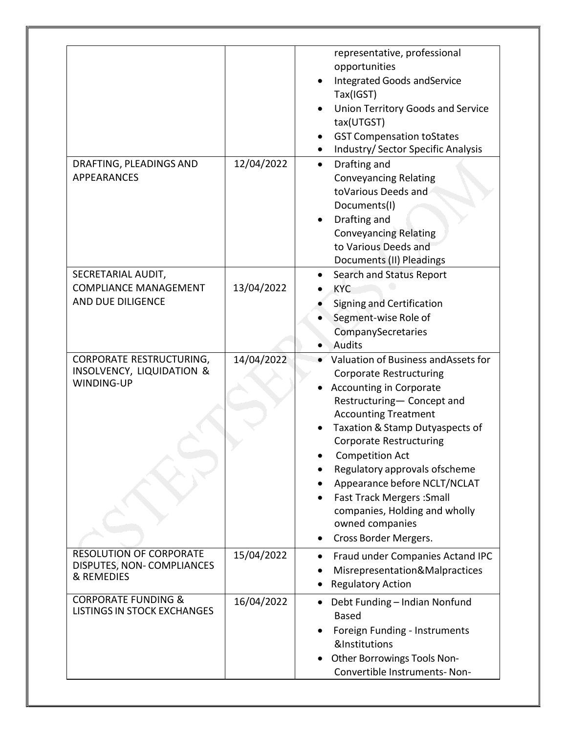|                                                                                              |            | representative, professional<br>opportunities<br><b>Integrated Goods and Service</b><br>Tax(IGST)<br><b>Union Territory Goods and Service</b><br>tax(UTGST)<br><b>GST Compensation toStates</b><br>Industry/ Sector Specific Analysis                                                                                                                                                                                                                  |
|----------------------------------------------------------------------------------------------|------------|--------------------------------------------------------------------------------------------------------------------------------------------------------------------------------------------------------------------------------------------------------------------------------------------------------------------------------------------------------------------------------------------------------------------------------------------------------|
| DRAFTING, PLEADINGS AND<br><b>APPEARANCES</b>                                                | 12/04/2022 | Drafting and<br>$\bullet$<br><b>Conveyancing Relating</b><br>toVarious Deeds and<br>Documents(I)<br>Drafting and<br><b>Conveyancing Relating</b><br>to Various Deeds and<br>Documents (II) Pleadings                                                                                                                                                                                                                                                   |
| SECRETARIAL AUDIT,<br><b>COMPLIANCE MANAGEMENT</b><br>AND DUE DILIGENCE                      | 13/04/2022 | Search and Status Report<br><b>KYC</b><br>Signing and Certification<br>Segment-wise Role of<br>CompanySecretaries<br>Audits                                                                                                                                                                                                                                                                                                                            |
| <b>CORPORATE RESTRUCTURING,</b><br><b>INSOLVENCY, LIQUIDATION &amp;</b><br><b>WINDING-UP</b> | 14/04/2022 | Valuation of Business and Assets for<br><b>Corporate Restructuring</b><br><b>Accounting in Corporate</b><br>Restructuring- Concept and<br><b>Accounting Treatment</b><br>Taxation & Stamp Dutyaspects of<br><b>Corporate Restructuring</b><br><b>Competition Act</b><br>Regulatory approvals ofscheme<br>Appearance before NCLT/NCLAT<br><b>Fast Track Mergers: Small</b><br>companies, Holding and wholly<br>owned companies<br>Cross Border Mergers. |
| <b>RESOLUTION OF CORPORATE</b><br>DISPUTES, NON-COMPLIANCES<br>& REMEDIES                    | 15/04/2022 | Fraud under Companies Actand IPC<br>Misrepresentation&Malpractices<br><b>Regulatory Action</b>                                                                                                                                                                                                                                                                                                                                                         |
| <b>CORPORATE FUNDING &amp;</b><br><b>LISTINGS IN STOCK EXCHANGES</b>                         | 16/04/2022 | Debt Funding - Indian Nonfund<br><b>Based</b><br>Foreign Funding - Instruments<br>&Institutions<br>Other Borrowings Tools Non-<br>Convertible Instruments-Non-                                                                                                                                                                                                                                                                                         |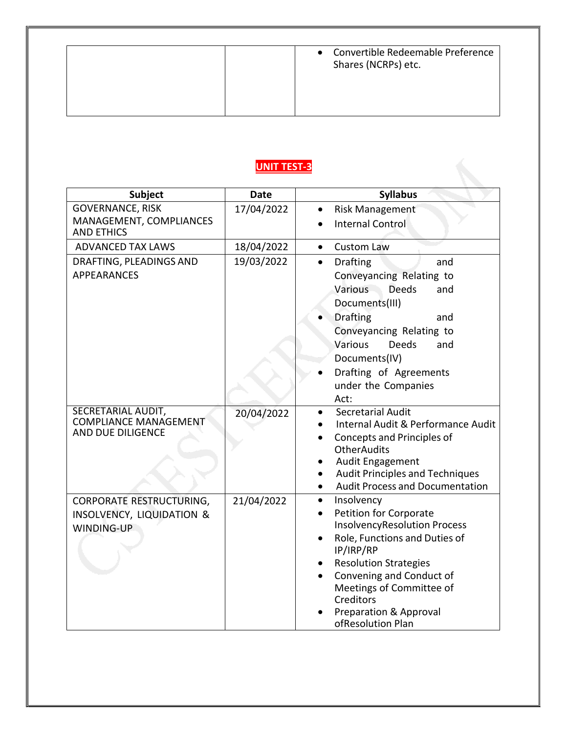### **UNIT TEST-3**

| <b>Subject</b>                                                          | <b>Date</b> | <b>Syllabus</b>                                                                                                                                                                                                            |
|-------------------------------------------------------------------------|-------------|----------------------------------------------------------------------------------------------------------------------------------------------------------------------------------------------------------------------------|
| <b>GOVERNANCE, RISK</b>                                                 | 17/04/2022  | <b>Risk Management</b>                                                                                                                                                                                                     |
| MANAGEMENT, COMPLIANCES<br><b>AND ETHICS</b>                            |             | <b>Internal Control</b>                                                                                                                                                                                                    |
| <b>ADVANCED TAX LAWS</b>                                                | 18/04/2022  | <b>Custom Law</b><br>$\bullet$                                                                                                                                                                                             |
| DRAFTING, PLEADINGS AND<br><b>APPEARANCES</b>                           | 19/03/2022  | <b>Drafting</b><br>$\bullet$<br>and<br>Conveyancing Relating to                                                                                                                                                            |
|                                                                         |             | Various<br><b>Deeds</b><br>and                                                                                                                                                                                             |
|                                                                         |             | Documents(III)                                                                                                                                                                                                             |
|                                                                         |             | <b>Drafting</b><br>and                                                                                                                                                                                                     |
|                                                                         |             | Conveyancing Relating to                                                                                                                                                                                                   |
|                                                                         |             | Various<br><b>Deeds</b><br>and                                                                                                                                                                                             |
|                                                                         |             | Documents(IV)<br>Drafting of Agreements                                                                                                                                                                                    |
|                                                                         |             | under the Companies                                                                                                                                                                                                        |
|                                                                         |             | Act:                                                                                                                                                                                                                       |
| SECRETARIAL AUDIT,<br><b>COMPLIANCE MANAGEMENT</b><br>AND DUE DILIGENCE | 20/04/2022  | <b>Secretarial Audit</b><br>Internal Audit & Performance Audit<br>Concepts and Principles of<br><b>OtherAudits</b><br>Audit Engagement<br><b>Audit Principles and Techniques</b><br><b>Audit Process and Documentation</b> |
| CORPORATE RESTRUCTURING,                                                | 21/04/2022  | Insolvency<br>$\bullet$                                                                                                                                                                                                    |
| INSOLVENCY, LIQUIDATION &                                               |             | <b>Petition for Corporate</b>                                                                                                                                                                                              |
| WINDING-UP                                                              |             | <b>InsolvencyResolution Process</b><br>Role, Functions and Duties of                                                                                                                                                       |
|                                                                         |             | IP/IRP/RP                                                                                                                                                                                                                  |
|                                                                         |             | <b>Resolution Strategies</b>                                                                                                                                                                                               |
|                                                                         |             | Convening and Conduct of                                                                                                                                                                                                   |
|                                                                         |             | Meetings of Committee of<br>Creditors                                                                                                                                                                                      |
|                                                                         |             | <b>Preparation &amp; Approval</b>                                                                                                                                                                                          |
|                                                                         |             | ofResolution Plan                                                                                                                                                                                                          |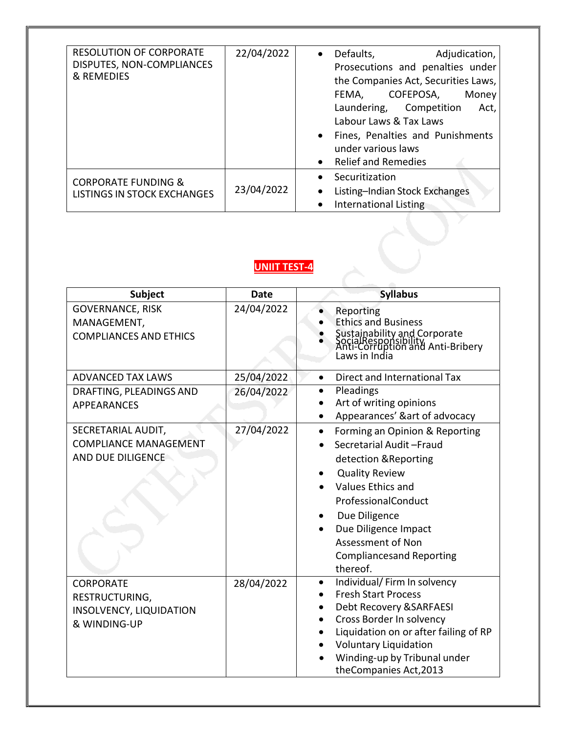| <b>RESOLUTION OF CORPORATE</b><br>DISPUTES, NON-COMPLIANCES<br>& REMEDIES | 22/04/2022 | Defaults,<br>Adjudication,<br>$\bullet$<br>Prosecutions and penalties under<br>the Companies Act, Securities Laws,<br>COFEPOSA,<br>Money<br>FEMA,<br>Laundering, Competition<br>Act,<br>Labour Laws & Tax Laws<br>Fines, Penalties and Punishments<br>under various laws<br><b>Relief and Remedies</b> |
|---------------------------------------------------------------------------|------------|--------------------------------------------------------------------------------------------------------------------------------------------------------------------------------------------------------------------------------------------------------------------------------------------------------|
| <b>CORPORATE FUNDING &amp;</b><br><b>LISTINGS IN STOCK EXCHANGES</b>      | 23/04/2022 | Securitization<br>Listing-Indian Stock Exchanges<br><b>International Listing</b>                                                                                                                                                                                                                       |

#### **UNIIT TEST-4**

| Subject                                                                       | <b>Date</b> | <b>Syllabus</b>                                                                                                                                                                                                                                                                          |
|-------------------------------------------------------------------------------|-------------|------------------------------------------------------------------------------------------------------------------------------------------------------------------------------------------------------------------------------------------------------------------------------------------|
| <b>GOVERNANCE, RISK</b><br>MANAGEMENT,<br><b>COMPLIANCES AND ETHICS</b>       | 24/04/2022  | Reporting<br><b>Ethics and Business</b><br>Sustainability and Corporate<br>SocialResponsibility<br>Anti-Corruption and Anti-Bribery<br>Laws in India                                                                                                                                     |
| <b>ADVANCED TAX LAWS</b>                                                      | 25/04/2022  | Direct and International Tax<br>$\bullet$                                                                                                                                                                                                                                                |
| DRAFTING, PLEADINGS AND<br><b>APPEARANCES</b>                                 | 26/04/2022  | Pleadings<br>Art of writing opinions<br>Appearances' &art of advocacy                                                                                                                                                                                                                    |
| SECRETARIAL AUDIT,<br><b>COMPLIANCE MANAGEMENT</b><br>AND DUE DILIGENCE       | 27/04/2022  | Forming an Opinion & Reporting<br>$\bullet$<br>Secretarial Audit-Fraud<br>detection & Reporting<br><b>Quality Review</b><br>Values Ethics and<br>ProfessionalConduct<br>Due Diligence<br>Due Diligence Impact<br><b>Assessment of Non</b><br><b>Compliancesand Reporting</b><br>thereof. |
| <b>CORPORATE</b><br>RESTRUCTURING,<br>INSOLVENCY, LIQUIDATION<br>& WINDING-UP | 28/04/2022  | Individual/ Firm In solvency<br>$\bullet$<br><b>Fresh Start Process</b><br>Debt Recovery & SARFAESI<br>Cross Border In solvency<br>Liquidation on or after failing of RP<br><b>Voluntary Liquidation</b><br>Winding-up by Tribunal under<br>theCompanies Act, 2013                       |